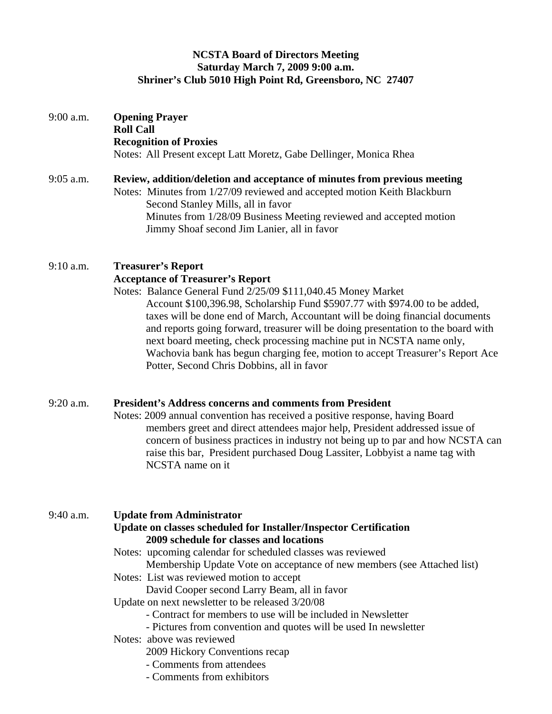# **NCSTA Board of Directors Meeting Saturday March 7, 2009 9:00 a.m. Shriner's Club 5010 High Point Rd, Greensboro, NC 27407**

| 9:00 a.m.   | <b>Opening Prayer</b><br><b>Roll Call</b><br><b>Recognition of Proxies</b><br>Notes: All Present except Latt Moretz, Gabe Dellinger, Monica Rhea                                                                                                                                                                                                                                                                                                                                                                                                                                                                                                                                                          |
|-------------|-----------------------------------------------------------------------------------------------------------------------------------------------------------------------------------------------------------------------------------------------------------------------------------------------------------------------------------------------------------------------------------------------------------------------------------------------------------------------------------------------------------------------------------------------------------------------------------------------------------------------------------------------------------------------------------------------------------|
| $9:05$ a.m. | Review, addition/deletion and acceptance of minutes from previous meeting<br>Notes: Minutes from 1/27/09 reviewed and accepted motion Keith Blackburn<br>Second Stanley Mills, all in favor<br>Minutes from 1/28/09 Business Meeting reviewed and accepted motion<br>Jimmy Shoaf second Jim Lanier, all in favor                                                                                                                                                                                                                                                                                                                                                                                          |
| $9:10$ a.m. | <b>Treasurer's Report</b><br><b>Acceptance of Treasurer's Report</b><br>Notes: Balance General Fund 2/25/09 \$111,040.45 Money Market<br>Account \$100,396.98, Scholarship Fund \$5907.77 with \$974.00 to be added,<br>taxes will be done end of March, Accountant will be doing financial documents<br>and reports going forward, treasurer will be doing presentation to the board with<br>next board meeting, check processing machine put in NCSTA name only,<br>Wachovia bank has begun charging fee, motion to accept Treasurer's Report Ace<br>Potter, Second Chris Dobbins, all in favor                                                                                                         |
| 9:20 a.m.   | <b>President's Address concerns and comments from President</b><br>Notes: 2009 annual convention has received a positive response, having Board<br>members greet and direct attendees major help, President addressed issue of<br>concern of business practices in industry not being up to par and how NCSTA can<br>raise this bar, President purchased Doug Lassiter, Lobbyist a name tag with<br>NCSTA name on it                                                                                                                                                                                                                                                                                      |
| $9:40$ a.m. | <b>Update from Administrator</b><br>Update on classes scheduled for Installer/Inspector Certification<br>2009 schedule for classes and locations<br>Notes: upcoming calendar for scheduled classes was reviewed<br>Membership Update Vote on acceptance of new members (see Attached list)<br>Notes: List was reviewed motion to accept<br>David Cooper second Larry Beam, all in favor<br>Update on next newsletter to be released 3/20/08<br>- Contract for members to use will be included in Newsletter<br>- Pictures from convention and quotes will be used In newsletter<br>Notes: above was reviewed<br>2009 Hickory Conventions recap<br>- Comments from attendees<br>- Comments from exhibitors |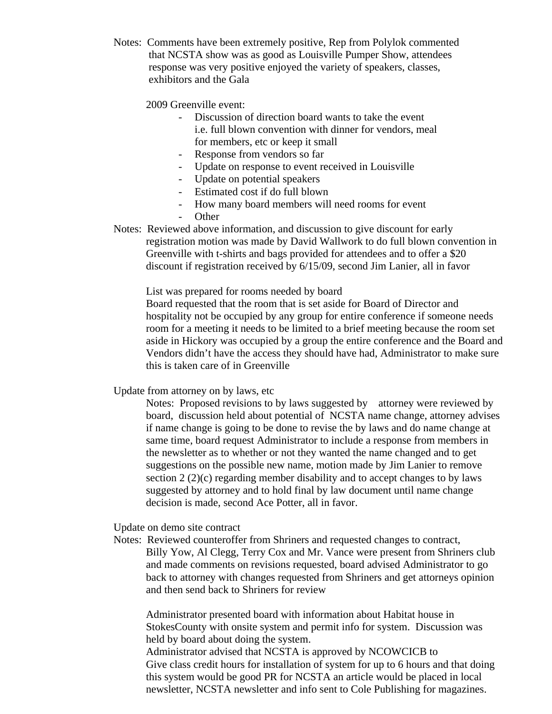Notes: Comments have been extremely positive, Rep from Polylok commented that NCSTA show was as good as Louisville Pumper Show, attendees response was very positive enjoyed the variety of speakers, classes, exhibitors and the Gala

2009 Greenville event:

- Discussion of direction board wants to take the event i.e. full blown convention with dinner for vendors, meal for members, etc or keep it small
- Response from vendors so far
- Update on response to event received in Louisville
- Update on potential speakers
- Estimated cost if do full blown
- How many board members will need rooms for event
- Other
- Notes: Reviewed above information, and discussion to give discount for early registration motion was made by David Wallwork to do full blown convention in Greenville with t-shirts and bags provided for attendees and to offer a \$20 discount if registration received by 6/15/09, second Jim Lanier, all in favor

List was prepared for rooms needed by board

Board requested that the room that is set aside for Board of Director and hospitality not be occupied by any group for entire conference if someone needs room for a meeting it needs to be limited to a brief meeting because the room set aside in Hickory was occupied by a group the entire conference and the Board and Vendors didn't have the access they should have had, Administrator to make sure this is taken care of in Greenville

Update from attorney on by laws, etc

Notes: Proposed revisions to by laws suggested by attorney were reviewed by board, discussion held about potential of NCSTA name change, attorney advises if name change is going to be done to revise the by laws and do name change at same time, board request Administrator to include a response from members in the newsletter as to whether or not they wanted the name changed and to get suggestions on the possible new name, motion made by Jim Lanier to remove section 2 (2)(c) regarding member disability and to accept changes to by laws suggested by attorney and to hold final by law document until name change decision is made, second Ace Potter, all in favor.

Update on demo site contract

Notes: Reviewed counteroffer from Shriners and requested changes to contract, Billy Yow, Al Clegg, Terry Cox and Mr. Vance were present from Shriners club and made comments on revisions requested, board advised Administrator to go back to attorney with changes requested from Shriners and get attorneys opinion and then send back to Shriners for review

Administrator presented board with information about Habitat house in StokesCounty with onsite system and permit info for system. Discussion was held by board about doing the system.

Administrator advised that NCSTA is approved by NCOWCICB to Give class credit hours for installation of system for up to 6 hours and that doing this system would be good PR for NCSTA an article would be placed in local newsletter, NCSTA newsletter and info sent to Cole Publishing for magazines.